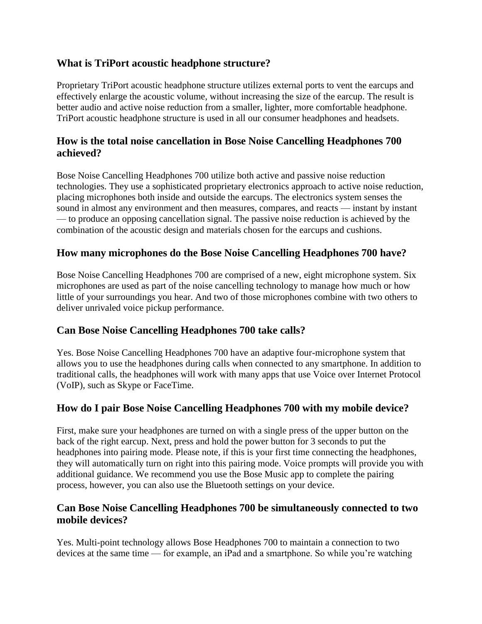#### **What is TriPort acoustic headphone structure?**

Proprietary TriPort acoustic headphone structure utilizes external ports to vent the earcups and effectively enlarge the acoustic volume, without increasing the size of the earcup. The result is better audio and active noise reduction from a smaller, lighter, more comfortable headphone. TriPort acoustic headphone structure is used in all our consumer headphones and headsets.

## **How is the total noise cancellation in Bose Noise Cancelling Headphones 700 achieved?**

Bose Noise Cancelling Headphones 700 utilize both active and passive noise reduction technologies. They use a sophisticated proprietary electronics approach to active noise reduction, placing microphones both inside and outside the earcups. The electronics system senses the sound in almost any environment and then measures, compares, and reacts — instant by instant — to produce an opposing cancellation signal. The passive noise reduction is achieved by the combination of the acoustic design and materials chosen for the earcups and cushions.

## **How many microphones do the Bose Noise Cancelling Headphones 700 have?**

Bose Noise Cancelling Headphones 700 are comprised of a new, eight microphone system. Six microphones are used as part of the noise cancelling technology to manage how much or how little of your surroundings you hear. And two of those microphones combine with two others to deliver unrivaled voice pickup performance.

#### **Can Bose Noise Cancelling Headphones 700 take calls?**

Yes. Bose Noise Cancelling Headphones 700 have an adaptive four-microphone system that allows you to use the headphones during calls when connected to any smartphone. In addition to traditional calls, the headphones will work with many apps that use Voice over Internet Protocol (VoIP), such as Skype or FaceTime.

# **How do I pair Bose Noise Cancelling Headphones 700 with my mobile device?**

First, make sure your headphones are turned on with a single press of the upper button on the back of the right earcup. Next, press and hold the power button for 3 seconds to put the headphones into pairing mode. Please note, if this is your first time connecting the headphones, they will automatically turn on right into this pairing mode. Voice prompts will provide you with additional guidance. We recommend you use the Bose Music app to complete the pairing process, however, you can also use the Bluetooth settings on your device.

## **Can Bose Noise Cancelling Headphones 700 be simultaneously connected to two mobile devices?**

Yes. Multi-point technology allows Bose Headphones 700 to maintain a connection to two devices at the same time — for example, an iPad and a smartphone. So while you're watching